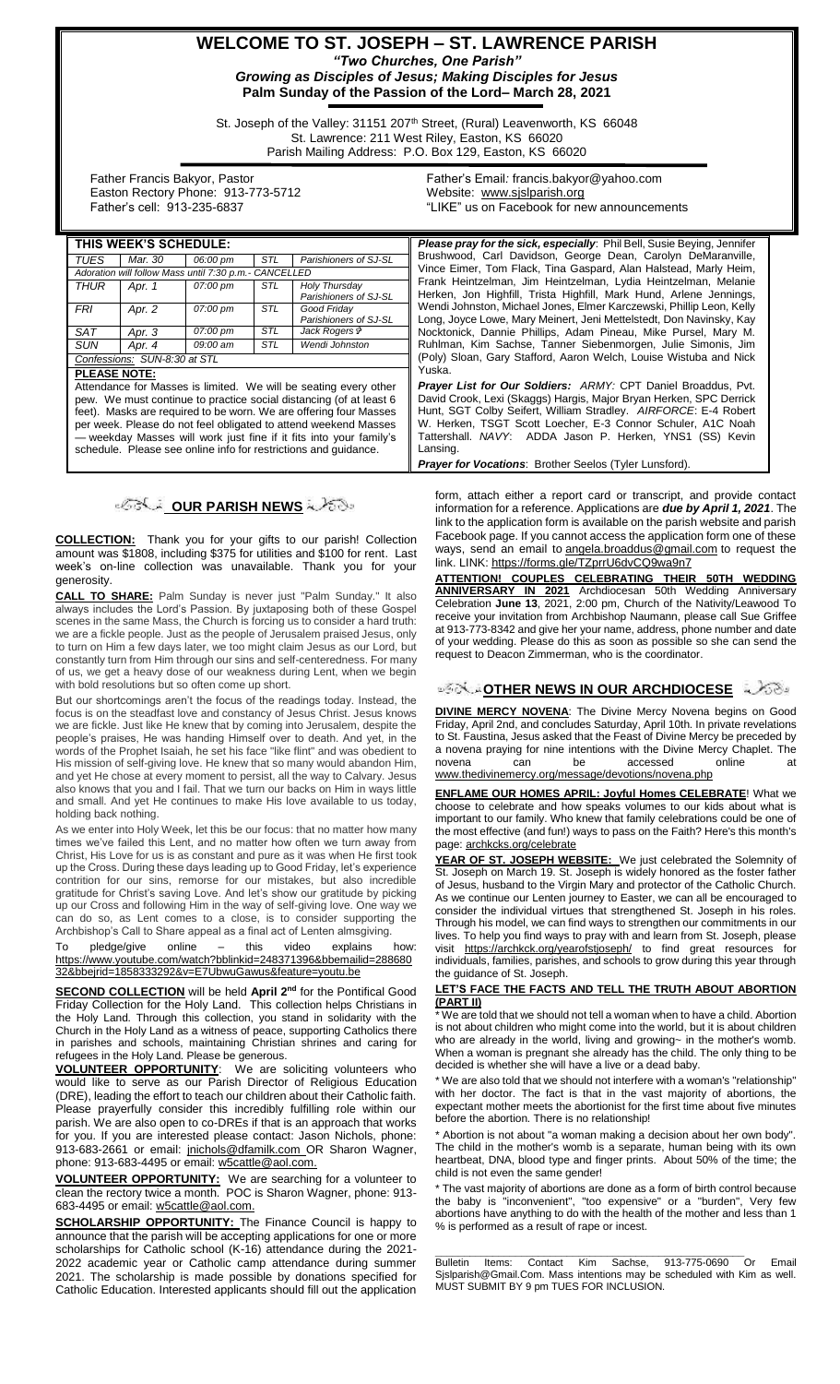### **WELCOME TO ST. JOSEPH – ST. LAWRENCE PARISH** *"Two Churches, One Parish" Growing as Disciples of Jesus; Making Disciples for Jesus* **Palm Sunday of the Passion of the Lord– March 28, 2021**

St. Joseph of the Valley: 31151 207<sup>th</sup> Street, (Rural) Leavenworth, KS 66048 St. Lawrence: 211 West Riley, Easton, KS 66020 Parish Mailing Address: P.O. Box 129, Easton, KS 66020

 Father Francis Bakyor, Pastor Easton Rectory Phone: 913-773-5712 Father's cell: 913-235-6837

Father's Email*:* francis.bakyor@yahoo.com Website: [www.sjslparish.org](http://www.sjslparish.org/) "LIKE" us on Facebook for new announcements

| THIS WEEK'S SCHEDULE:                                                                                                                                                                                                                                                                                                                               |         |          |            |                                        |
|-----------------------------------------------------------------------------------------------------------------------------------------------------------------------------------------------------------------------------------------------------------------------------------------------------------------------------------------------------|---------|----------|------------|----------------------------------------|
| TUES                                                                                                                                                                                                                                                                                                                                                | Mar. 30 | 06:00 pm | <b>STL</b> | Parishioners of SJ-SL                  |
| Adoration will follow Mass until 7:30 p.m.- CANCELLED                                                                                                                                                                                                                                                                                               |         |          |            |                                        |
| <b>THUR</b>                                                                                                                                                                                                                                                                                                                                         | Apr. 1  | 07:00 pm | <b>STL</b> | Holy Thursday<br>Parishioners of SJ-SL |
| <b>FRI</b>                                                                                                                                                                                                                                                                                                                                          | Apr. 2  | 07:00 pm | <b>STL</b> | Good Friday<br>Parishioners of SJ-SL   |
| <b>SAT</b>                                                                                                                                                                                                                                                                                                                                          | Apr. 3  | 07:00 pm | STL        | Jack Rogers &                          |
| <b>SUN</b>                                                                                                                                                                                                                                                                                                                                          | Apr. 4  | 09:00 am | <b>STL</b> | Wendi Johnston                         |
| Confessions: SUN-8:30 at STL                                                                                                                                                                                                                                                                                                                        |         |          |            |                                        |
| <b>PLEASE NOTE:</b><br>Attendance for Masses is limited. We will be seating every other                                                                                                                                                                                                                                                             |         |          |            |                                        |
| pew. We must continue to practice social distancing (of at least 6<br>feet). Masks are required to be worn. We are offering four Masses<br>per week. Please do not feel obligated to attend weekend Masses<br>- weekday Masses will work just fine if it fits into your family's<br>schedule. Please see online info for restrictions and quidance. |         |          |            |                                        |

# **OUR PARISH NEWS**

**COLLECTION:** Thank you for your gifts to our parish! Collection amount was \$1808, including \$375 for utilities and \$100 for rent. Last week's on-line collection was unavailable. Thank you for your generosity.

**CALL TO SHARE:** Palm Sunday is never just "Palm Sunday." It also always includes the Lord's Passion. By juxtaposing both of these Gospel scenes in the same Mass, the Church is forcing us to consider a hard truth: we are a fickle people. Just as the people of Jerusalem praised Jesus, only to turn on Him a few days later, we too might claim Jesus as our Lord, but constantly turn from Him through our sins and self-centeredness. For many of us, we get a heavy dose of our weakness during Lent, when we begin with bold resolutions but so often come up short.

But our shortcomings aren't the focus of the readings today. Instead, the focus is on the steadfast love and constancy of Jesus Christ. Jesus knows we are fickle. Just like He knew that by coming into Jerusalem, despite the people's praises, He was handing Himself over to death. And yet, in the words of the Prophet Isaiah, he set his face "like flint" and was obedient to His mission of self-giving love. He knew that so many would abandon Him, and yet He chose at every moment to persist, all the way to Calvary. Jesus also knows that you and I fail. That we turn our backs on Him in ways little and small. And yet He continues to make His love available to us today, holding back nothing.

As we enter into Holy Week, let this be our focus: that no matter how many times we've failed this Lent, and no matter how often we turn away from Christ, His Love for us is as constant and pure as it was when He first took up the Cross. During these days leading up to Good Friday, let's experience contrition for our sins, remorse for our mistakes, but also incredible gratitude for Christ's saving Love. And let's show our gratitude by picking up our Cross and following Him in the way of self-giving love. One way we can do so, as Lent comes to a close, is to consider supporting the Archbishop's Call to Share appeal as a final act of Lenten almsgiving.

To pledge/give online – this video explains how: [https://www.youtube.com/watch?bblinkid=248371396&bbemailid=288680](https://www.youtube.com/watch?bblinkid=248371396&bbemailid=28868032&bbejrid=1858333292&v=E7UbwuGawus&feature=youtu.be) [32&bbejrid=1858333292&v=E7UbwuGawus&feature=youtu.be](https://www.youtube.com/watch?bblinkid=248371396&bbemailid=28868032&bbejrid=1858333292&v=E7UbwuGawus&feature=youtu.be)

**SECOND COLLECTION** will be held **April 2nd** for the Pontifical Good Friday Collection for the Holy Land. This collection helps Christians in the Holy Land. Through this collection, you stand in solidarity with the Church in the Holy Land as a witness of peace, supporting Catholics there in parishes and schools, maintaining Christian shrines and caring for refugees in the Holy Land. Please be generous.

**VOLUNTEER OPPORTUNITY**: We are soliciting volunteers who would like to serve as our Parish Director of Religious Education (DRE), leading the effort to teach our children about their Catholic faith. Please prayerfully consider this incredibly fulfilling role within our parish. We are also open to co-DREs if that is an approach that works for you. If you are interested please contact: Jason Nichols, phone: 913-683-2661 or email: [jnichols@dfamilk.com](mailto:jnichols@dfamilk.com) OR Sharon Wagner, phone: 913-683-4495 or email: [w5cattle@aol.com.](mailto:w5cattle@aol.com)

**VOLUNTEER OPPORTUNITY:** We are searching for a volunteer to clean the rectory twice a month. POC is Sharon Wagner, phone: 913- 683-4495 or email[: w5cattle@aol.com.](mailto:w5cattle@aol.com)

**SCHOLARSHIP OPPORTUNITY:** The Finance Council is happy to announce that the parish will be accepting applications for one or more scholarships for Catholic school (K-16) attendance during the 2021- 2022 academic year or Catholic camp attendance during summer 2021. The scholarship is made possible by donations specified for Catholic Education. Interested applicants should fill out the application

Please pray for the sick, especially: Phil Bell, Susie Beying, Jennifer Brushwood, Carl Davidson, George Dean, Carolyn DeMaranville, Vince Eimer, Tom Flack, Tina Gaspard, Alan Halstead, Marly Heim, Frank Heintzelman, Jim Heintzelman, Lydia Heintzelman, Melanie Herken, Jon Highfill, Trista Highfill, Mark Hund, Arlene Jennings, Wendi Johnston, Michael Jones, Elmer Karczewski, Phillip Leon, Kelly Long, Joyce Lowe, Mary Meinert, Jeni Mettelstedt, Don Navinsky, Kay Nocktonick, Dannie Phillips, Adam Pineau, Mike Pursel, Mary M. Ruhlman, Kim Sachse, Tanner Siebenmorgen, Julie Simonis, Jim (Poly) Sloan, Gary Stafford, Aaron Welch, Louise Wistuba and Nick Yuska.

*Prayer List for Our Soldiers: ARMY:* CPT Daniel Broaddus, Pvt. David Crook, Lexi (Skaggs) Hargis, Major Bryan Herken, SPC Derrick Hunt, SGT Colby Seifert, William Stradley. *AIRFORCE*: E-4 Robert W. Herken, TSGT Scott Loecher, E-3 Connor Schuler, A1C Noah Tattershall. *NAVY*: ADDA Jason P. Herken, YNS1 (SS) Kevin Lansing.

*Prayer for Vocations*: Brother Seelos (Tyler Lunsford).

form, attach either a report card or transcript, and provide contact information for a reference. Applications are *due by April 1, 2021*. The link to the application form is available on the parish website and parish Facebook page. If you cannot access the application form one of these ways, send an email to [angela.broaddus@gmail.com](mailto:angela.broaddus@gmail.com) to request the link. LINK: <https://forms.gle/TZprrU6dvCQ9wa9n7>

**ATTENTION! COUPLES CELEBRATING THEIR 50TH WEDDING ANNIVERSARY IN 2021** Archdiocesan 50th Wedding Anniversary Celebration **June 13**, 2021, 2:00 pm, Church of the Nativity/Leawood To receive your invitation from Archbishop Naumann, please call Sue Griffee at 913-773-8342 and give her your name, address, phone number and date of your wedding. Please do this as soon as possible so she can send the request to Deacon Zimmerman, who is the coordinator.

## **OTHER NEWS IN OUR ARCHDIOCESE**

**DIVINE MERCY NOVENA**: The Divine Mercy Novena begins on Good Friday, April 2nd, and concludes Saturday, April 10th. In private revelations to St. Faustina, Jesus asked that the Feast of Divine Mercy be preceded by a novena praying for nine intentions with the Divine Mercy Chaplet. The novena can be accessed online at [www.thedivinemercy.org/message/devotions/novena.php](http://www.thedivinemercy.org/message/devotions/novena.php)

**ENFLAME OUR HOMES APRIL: Joyful Homes CELEBRATE**! What we choose to celebrate and how speaks volumes to our kids about what is important to our family. Who knew that family celebrations could be one of the most effective (and fun!) ways to pass on the Faith? Here's this month's page: archkcks.org/celebrate

**YEAR OF ST. JOSEPH WEBSITE:** We just celebrated the Solemnity of St. Joseph on March 19. St. Joseph is widely honored as the foster father of Jesus, husband to the Virgin Mary and protector of the Catholic Church. As we continue our Lenten journey to Easter, we can all be encouraged to consider the individual virtues that strengthened St. Joseph in his roles. Through his model, we can find ways to strengthen our commitments in our lives. To help you find ways to pray with and learn from St. Joseph, please visit https://archkck.org/yearofstjoseph/ to find great resources for individuals, families, parishes, and schools to grow during this year through the guidance of St. Joseph.

#### **LET'S [FACE THE FACTS AND TELL THE TRUTH ABOUT ABORTION](file:///E:/BackedUpFiles/SaturdayBackUp/Documents/Pro-Life%20Files/Bulletin%20Articles/Lets%20Face%20the%20Facts%20and%20Tell%20the%20Truth%20about%20Abortion%20(Part%20I).doc)  [\(PART II\)](file:///E:/BackedUpFiles/SaturdayBackUp/Documents/Pro-Life%20Files/Bulletin%20Articles/Lets%20Face%20the%20Facts%20and%20Tell%20the%20Truth%20about%20Abortion%20(Part%20I).doc)**

 $\overline{\text{We}}$  are told that we should not tell a woman when to have a child. Abortion is not about children who might come into the world, but it is about children who are already in the world, living and growing~ in the mother's womb. When a woman is pregnant she already has the child. The only thing to be decided is whether she will have a live or a dead baby.

\* We are also told that we should not interfere with a woman's "relationship" with her doctor. The fact is that in the vast majority of abortions, the expectant mother meets the abortionist for the first time about five minutes before the abortion. There is no relationship!

Abortion is not about "a woman making a decision about her own body". The child in the mother's womb is a separate, human being with its own heartbeat, DNA, blood type and finger prints. About 50% of the time; the child is not even the same gender!

\* The vast majority of abortions are done as a form of birth control because the baby is "inconvenient", "too expensive" or a "burden", Very few abortions have anything to do with the health of the mother and less than 1 % is performed as a result of rape or incest.

\_\_\_\_\_\_\_\_\_\_\_\_\_\_\_\_\_\_\_\_\_\_\_\_\_\_\_\_\_\_\_\_\_\_\_\_\_\_\_\_\_\_\_\_\_\_\_\_\_\_\_\_\_\_ Bulletin Items: Contact Kim Sachse, 913-775-0690 Or Email Sjslparish@Gmail.Com. Mass intentions may be scheduled with Kim as well. MUST SUBMIT BY 9 pm TUES FOR INCLUSION.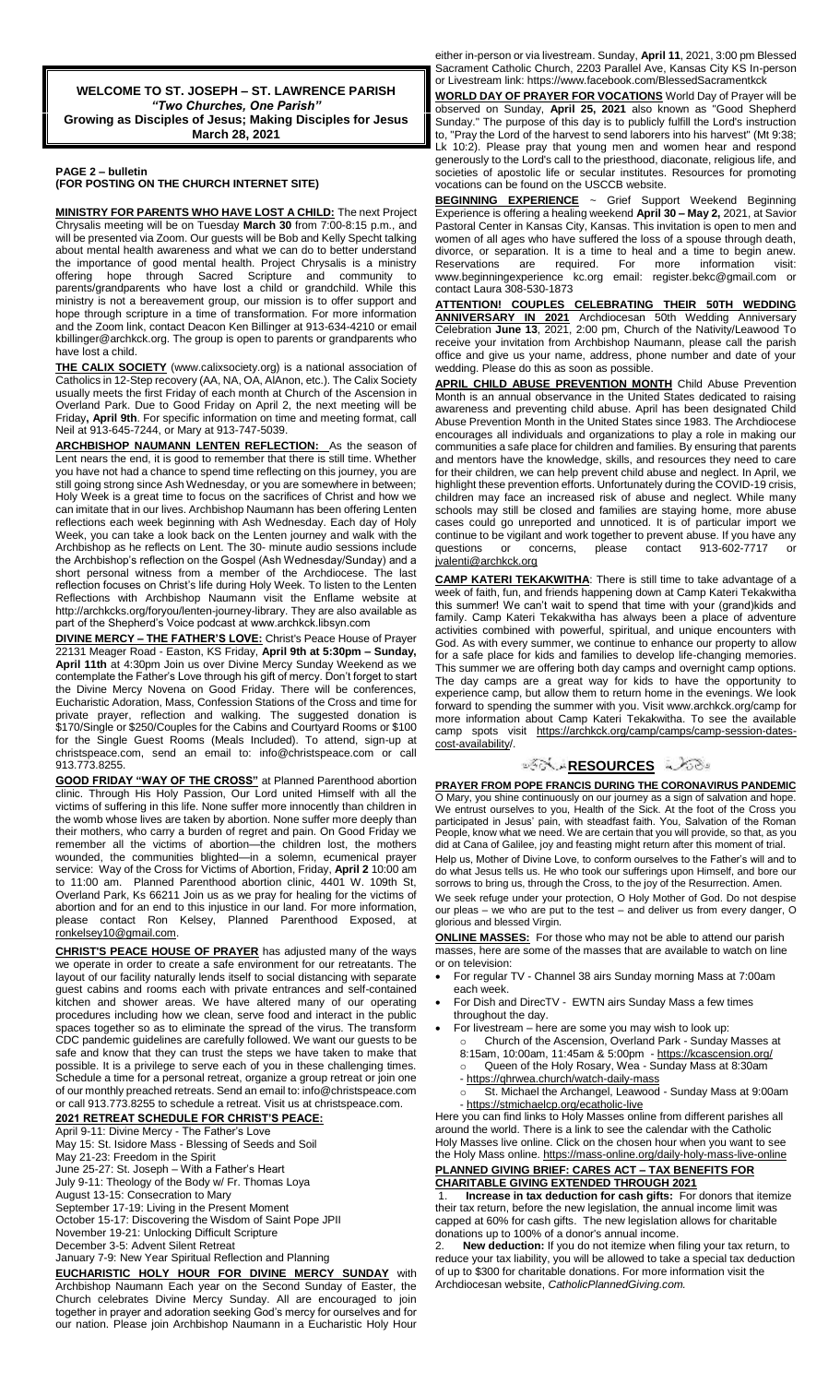**WELCOME TO ST. JOSEPH – ST. LAWRENCE PARISH** *"Two Churches, One Parish"* **Growing as Disciples of Jesus; Making Disciples for Jesus March 28, 2021**

#### **PAGE 2 – bulletin (FOR POSTING ON THE CHURCH INTERNET SITE)**

**MINISTRY FOR PARENTS WHO HAVE LOST A CHILD:** The next Project Chrysalis meeting will be on Tuesday **March 30** from 7:00-8:15 p.m., and will be presented via Zoom. Our guests will be Bob and Kelly Specht talking about mental health awareness and what we can do to better understand the importance of good mental health. Project Chrysalis is a ministry offering hope through Sacred Scripture and community to parents/grandparents who have lost a child or grandchild. While this ministry is not a bereavement group, our mission is to offer support and hope through scripture in a time of transformation. For more information and the Zoom link, contact Deacon Ken Billinger at 913-634-4210 or email kbillinger@archkck.org. The group is open to parents or grandparents who have lost a child.

**THE CALIX SOCIETY** (www.calixsociety.org) is a national association of Catholics in 12-Step recovery (AA, NA, OA, AlAnon, etc.). The Calix Society usually meets the first Friday of each month at Church of the Ascension in Overland Park. Due to Good Friday on April 2, the next meeting will be Friday**, April 9th**. For specific information on time and meeting format, call Neil at 913-645-7244, or Mary at 913-747-5039.

**ARCHBISHOP NAUMANN LENTEN REFLECTION:** As the season of Lent nears the end, it is good to remember that there is still time. Whether you have not had a chance to spend time reflecting on this journey, you are still going strong since Ash Wednesday, or you are somewhere in between; Holy Week is a great time to focus on the sacrifices of Christ and how we can imitate that in our lives. Archbishop Naumann has been offering Lenten reflections each week beginning with Ash Wednesday. Each day of Holy Week, you can take a look back on the Lenten journey and walk with the Archbishop as he reflects on Lent. The 30- minute audio sessions include the Archbishop's reflection on the Gospel (Ash Wednesday/Sunday) and a short personal witness from a member of the Archdiocese. The last reflection focuses on Christ's life during Holy Week. To listen to the Lenten Reflections with Archbishop Naumann visit the Enflame website at http://archkcks.org/foryou/lenten-journey-library. They are also available as part of the Shepherd's Voice podcast at www.archkck.libsyn.com

**DIVINE MERCY – THE FATHER'S LOVE:** Christ's Peace House of Prayer 22131 Meager Road - Easton, KS Friday, **April 9th at 5:30pm – Sunday, April 11th** at 4:30pm Join us over Divine Mercy Sunday Weekend as we contemplate the Father's Love through his gift of mercy. Don't forget to start the Divine Mercy Novena on Good Friday. There will be conferences, Eucharistic Adoration, Mass, Confession Stations of the Cross and time for private prayer, reflection and walking. The suggested donation is \$170/Single or \$250/Couples for the Cabins and Courtyard Rooms or \$100 for the Single Guest Rooms (Meals Included). To attend, sign-up at christspeace.com, send an email to: info@christspeace.com or call 913.773.8255.

**GOOD FRIDAY "WAY OF THE CROSS"** at Planned Parenthood abortion clinic. Through His Holy Passion, Our Lord united Himself with all the victims of suffering in this life. None suffer more innocently than children in the womb whose lives are taken by abortion. None suffer more deeply than their mothers, who carry a burden of regret and pain. On Good Friday we remember all the victims of abortion—the children lost, the mothers wounded, the communities blighted—in a solemn, ecumenical prayer service: Way of the Cross for Victims of Abortion, Friday, **April 2** 10:00 am to 11:00 am. Planned Parenthood abortion clinic, 4401 W. 109th St, Overland Park, Ks 66211 Join us as we pray for healing for the victims of abortion and for an end to this injustice in our land. For more information, please contact Ron Kelsey, Planned Parenthood Exposed, at ronkelsey10@gmail.com.

**CHRIST'S PEACE HOUSE OF PRAYER** has adjusted many of the ways we operate in order to create a safe environment for our retreatants. The layout of our facility naturally lends itself to social distancing with separate guest cabins and rooms each with private entrances and self-contained kitchen and shower areas. We have altered many of our operating procedures including how we clean, serve food and interact in the public spaces together so as to eliminate the spread of the virus. The transform CDC pandemic guidelines are carefully followed. We want our guests to be safe and know that they can trust the steps we have taken to make that possible. It is a privilege to serve each of you in these challenging times. Schedule a time for a personal retreat, organize a group retreat or join one of our monthly preached retreats. Send an email to: info@christspeace.com or call 913.773.8255 to schedule a retreat. Visit us at christspeace.com.

## **2021 RETREAT SCHEDULE FOR CHRIST'S PEACE:**

April 9-11: Divine Mercy - The Father's Love May 15: St. Isidore Mass - Blessing of Seeds and Soil

- May 21-23: Freedom in the Spirit
- June 25-27: St. Joseph With a Father's Heart

July 9-11: Theology of the Body w/ Fr. Thomas Loya

August 13-15: Consecration to Mary

September 17-19: Living in the Present Moment October 15-17: Discovering the Wisdom of Saint Pope JPII

November 19-21: Unlocking Difficult Scripture

December 3-5: Advent Silent Retreat

January 7-9: New Year Spiritual Reflection and Planning

**EUCHARISTIC HOLY HOUR FOR DIVINE MERCY SUNDAY** with Archbishop Naumann Each year on the Second Sunday of Easter, the Church celebrates Divine Mercy Sunday. All are encouraged to join together in prayer and adoration seeking God's mercy for ourselves and for our nation. Please join Archbishop Naumann in a Eucharistic Holy Hour

either in-person or via livestream. Sunday, **April 11**, 2021, 3:00 pm Blessed Sacrament Catholic Church, 2203 Parallel Ave, Kansas City KS In-person or Livestream link: https://www.facebook.com/BlessedSacramentkck

**WORLD DAY OF PRAYER FOR VOCATIONS** World Day of Prayer will be observed on Sunday, **April 25, 2021** also known as "Good Shepherd Sunday." The purpose of this day is to publicly fulfill the Lord's instruction to, "Pray the Lord of the harvest to send laborers into his harvest" (Mt 9:38; Lk 10:2). Please pray that young men and women hear and respond generously to the Lord's call to the priesthood, diaconate, religious life, and societies of apostolic life or secular institutes. Resources for promoting vocations can be found on the USCCB website.

**BEGINNING EXPERIENCE** ~ Grief Support Weekend Beginning Experience is offering a healing weekend **April 30 – May 2,** 2021, at Savior Pastoral Center in Kansas City, Kansas. This invitation is open to men and women of all ages who have suffered the loss of a spouse through death, divorce, or separation. It is a time to heal and a time to begin anew. Reservations are required. For more information visit: www.beginningexperience kc.org email: register.bekc@gmail.com or contact Laura 308-530-1873

**ATTENTION! COUPLES CELEBRATING THEIR 50TH WEDDING ANNIVERSARY IN 2021** Archdiocesan 50th Wedding Anniversary Celebration **June 13**, 2021, 2:00 pm, Church of the Nativity/Leawood To receive your invitation from Archbishop Naumann, please call the parish office and give us your name, address, phone number and date of your wedding. Please do this as soon as possible.

**APRIL CHILD ABUSE PREVENTION MONTH** Child Abuse Prevention Month is an annual observance in the United States dedicated to raising awareness and preventing child abuse. April has been designated Child Abuse Prevention Month in the United States since 1983. The Archdiocese encourages all individuals and organizations to play a role in making our communities a safe place for children and families. By ensuring that parents and mentors have the knowledge, skills, and resources they need to care for their children, we can help prevent child abuse and neglect. In April, we highlight these prevention efforts. Unfortunately during the COVID-19 crisis, children may face an increased risk of abuse and neglect. While many schools may still be closed and families are staying home, more abuse cases could go unreported and unnoticed. It is of particular import we continue to be vigilant and work together to prevent abuse. If you have any questions or concerns, please contact 913-602-7717 or questions or concerns, please contact 913-602-7717 [jvalenti@archkck.org](mailto:jvalenti@archkck.org)

**CAMP KATERI TEKAKWITHA**: There is still time to take advantage of a week of faith, fun, and friends happening down at Camp Kateri Tekakwitha this summer! We can't wait to spend that time with your (grand)kids and family. Camp Kateri Tekakwitha has always been a place of adventure activities combined with powerful, spiritual, and unique encounters with God. As with every summer, we continue to enhance our property to allow for a safe place for kids and families to develop life-changing memories. This summer we are offering both day camps and overnight camp options. The day camps are a great way for kids to have the opportunity to experience camp, but allow them to return home in the evenings. We look forward to spending the summer with you. Visit www.archkck.org/camp for more information about Camp Kateri Tekakwitha. To see the available camp spots visit https://archkck.org/camp/camps/camp-session-datescost-availability/.

# ⊅∂ী⊱<mark>[R](http://www.google.com/url?sa=i&rct=j&q=&esrc=s&source=images&cd=&cad=rja&uact=8&ved=0CAcQjRxqFQoTCL3M6dfYlskCFQfIYwodK-sMqA&url=http://www.clipartpanda.com/categories/corner-scroll-design&psig=AFQjCNEcNGu-GRs-N_tcfj31hDOCKS7EqQ&ust=1447823402338642)ESOURCES</mark> নীতিভ

**PRAYER FROM POPE FRANCIS DURING THE CORONAVIRUS PANDEMIC** O Mary, you shine continuously on our journey as a sign of salvation and hope. We entrust ourselves to you, Health of the Sick. At the foot of the Cross you participated in Jesus' pain, with steadfast faith. You, Salvation of the Roman People, know what we need. We are certain that you will provide, so that, as you did at Cana of Galilee, joy and feasting might return after this moment of trial.

Help us, Mother of Divine Love, to conform ourselves to the Father's will and to do what Jesus tells us. He who took our sufferings upon Himself, and bore our sorrows to bring us, through the Cross, to the joy of the Resurrection. Amen.

We seek refuge under your protection, O Holy Mother of God. Do not despise our pleas – we who are put to the test – and deliver us from every danger, O glorious and blessed Virgin.

**ONLINE MASSES:** For those who may not be able to attend our parish masses, here are some of the masses that are available to watch on line or on television:

- For regular TV Channel 38 airs Sunday morning Mass at 7:00am each week.
- For Dish and DirecTV EWTN airs Sunday Mass a few times throughout the day.
	- For livestream here are some you may wish to look up:
- o Church of the Ascension, Overland Park Sunday Masses at 8:15am, 10:00am, 11:45am & 5:00pm - <https://kcascension.org/> o Queen of the Holy Rosary, Wea - Sunday Mass at 8:30am
	- <https://qhrwea.church/watch-daily-mass> St. Michael the Archangel, Leawood - Sunday Mass at 9:00am
- <https://stmichaelcp.org/ecatholic-live> Here you can find links to Holy Masses online from different parishes all

around the world. There is a link to see the calendar with the Catholic Holy Masses live online. Click on the chosen hour when you want to see the Holy Mass online.<https://mass-online.org/daily-holy-mass-live-online> **PLANNED GIVING BRIEF: CARES ACT – TAX BENEFITS FOR CHARITABLE GIVING EXTENDED THROUGH 2021**

1. **Increase in tax deduction for cash gifts:** For donors that itemize their tax return, before the new legislation, the annual income limit was capped at 60% for cash gifts. The new legislation allows for charitable donations up to 100% of a donor's annual income.

2. **New deduction:** If you do not itemize when filing your tax return, to reduce your tax liability, you will be allowed to take a special tax deduction of up to \$300 for charitable donations. For more information visit the Archdiocesan website, *CatholicPlannedGiving.com.*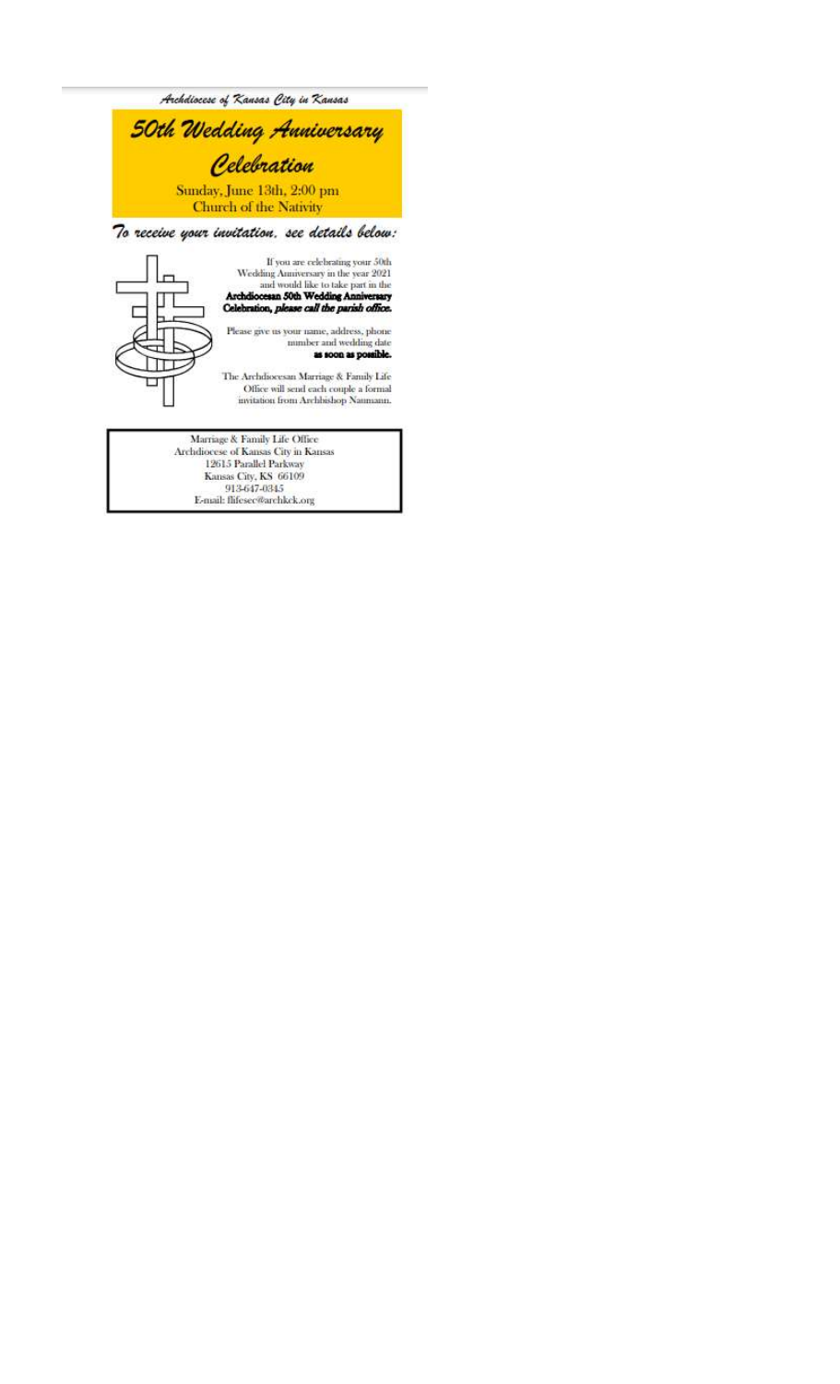

Marriage & Family Life Office Anarrage & Family Life Office<br>Archdiocese of Kansas City in Kansas<br>12615 Parallel Parkway<br>Kansas City, KS 66109<br>913-647-0345<br>E-mail: flifesec@archkek.org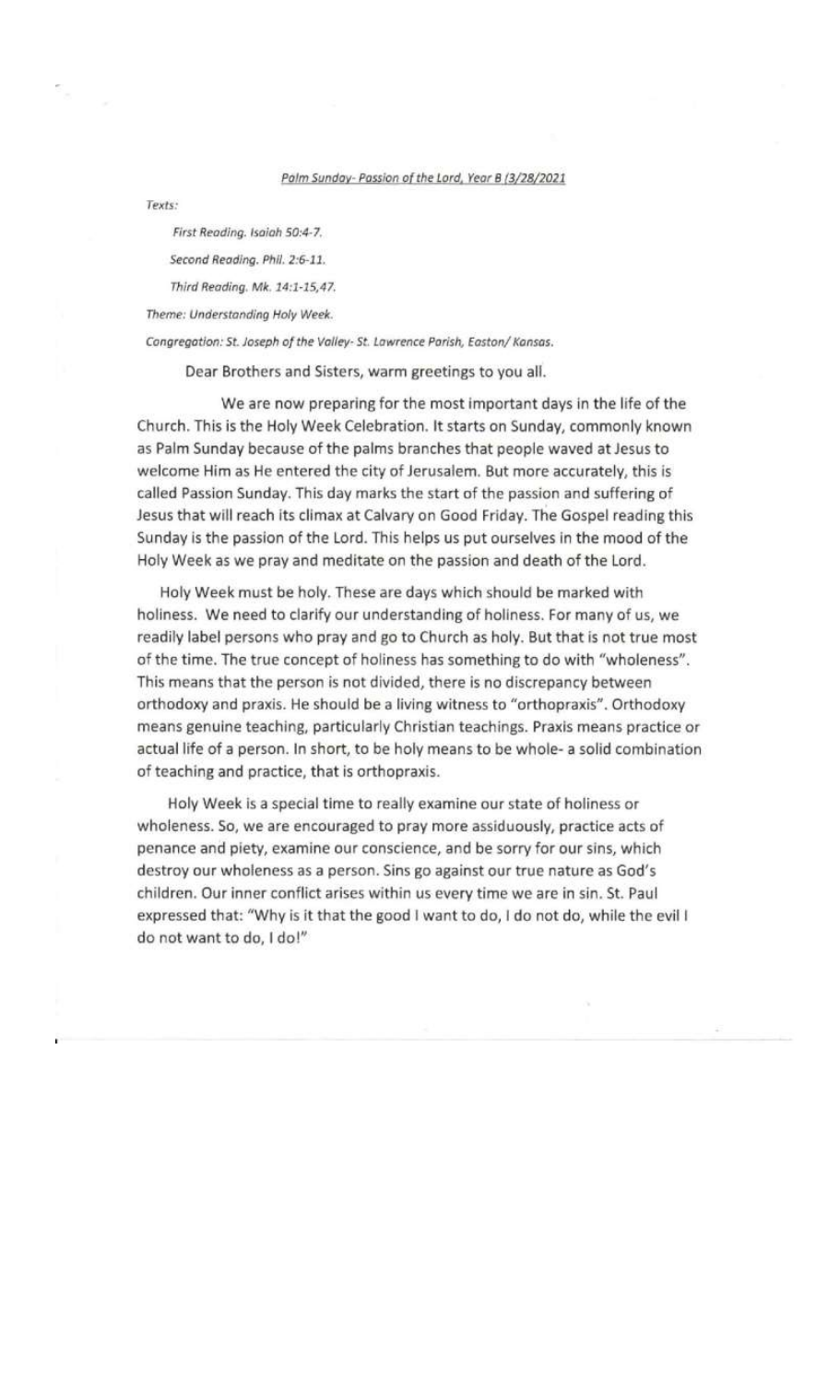#### Palm Sunday- Passion of the Lord, Year B (3/28/2021

Texts:

First Reading. Isaiah 50:4-7.

Second Reading. Phil. 2:6-11.

Third Reading. Mk. 14:1-15,47.

Theme: Understanding Holy Week.

Congregation: St. Joseph of the Valley- St. Lawrence Parish, Easton/ Kansas.

Dear Brothers and Sisters, warm greetings to you all.

We are now preparing for the most important days in the life of the Church. This is the Holy Week Celebration. It starts on Sunday, commonly known as Palm Sunday because of the palms branches that people waved at Jesus to welcome Him as He entered the city of Jerusalem. But more accurately, this is called Passion Sunday. This day marks the start of the passion and suffering of Jesus that will reach its climax at Calvary on Good Friday. The Gospel reading this Sunday is the passion of the Lord. This helps us put ourselves in the mood of the Holy Week as we pray and meditate on the passion and death of the Lord.

Holy Week must be holy. These are days which should be marked with holiness. We need to clarify our understanding of holiness. For many of us, we readily label persons who pray and go to Church as holy. But that is not true most of the time. The true concept of holiness has something to do with "wholeness". This means that the person is not divided, there is no discrepancy between orthodoxy and praxis. He should be a living witness to "orthopraxis". Orthodoxy means genuine teaching, particularly Christian teachings. Praxis means practice or actual life of a person. In short, to be holy means to be whole- a solid combination of teaching and practice, that is orthopraxis.

Holy Week is a special time to really examine our state of holiness or wholeness. So, we are encouraged to pray more assiduously, practice acts of penance and piety, examine our conscience, and be sorry for our sins, which destroy our wholeness as a person. Sins go against our true nature as God's children. Our inner conflict arises within us every time we are in sin. St. Paul expressed that: "Why is it that the good I want to do, I do not do, while the evil I do not want to do, I do!"